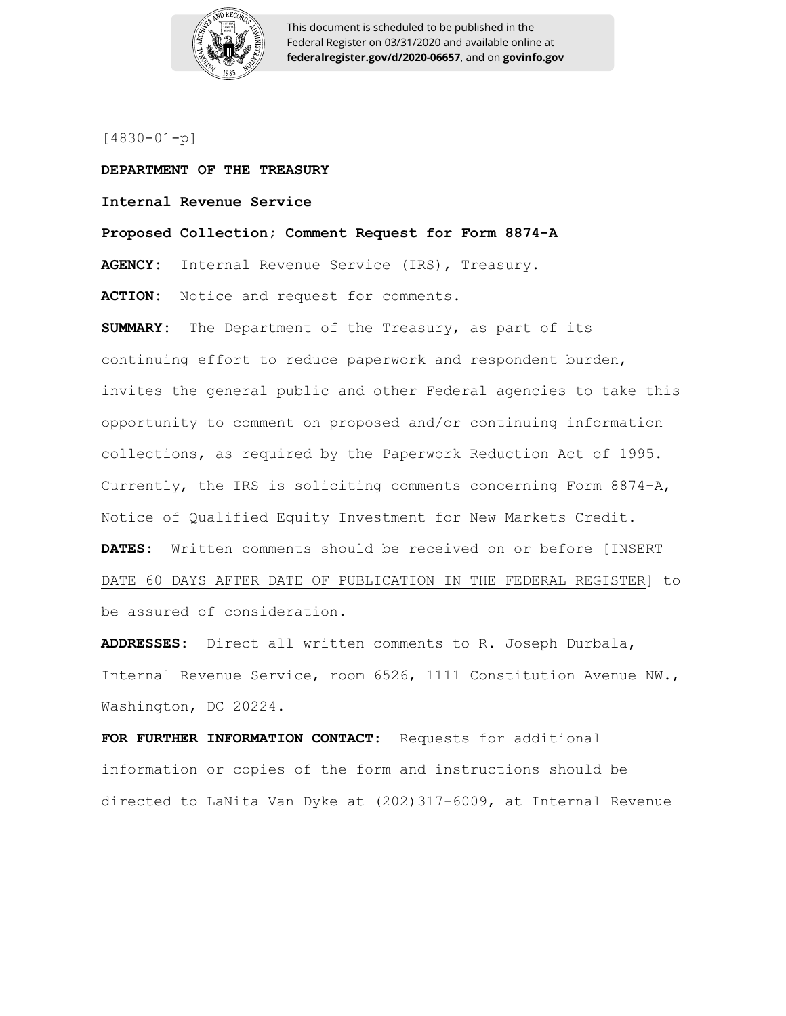

This document is scheduled to be published in the Federal Register on 03/31/2020 and available online at **federalregister.gov/d/2020-06657**, and on **govinfo.gov**

[4830-01-p]

**DEPARTMENT OF THE TREASURY Internal Revenue Service Proposed Collection; Comment Request for Form 8874-A**

**AGENCY:** Internal Revenue Service (IRS), Treasury. **ACTION:** Notice and request for comments.

**SUMMARY:** The Department of the Treasury, as part of its continuing effort to reduce paperwork and respondent burden, invites the general public and other Federal agencies to take this opportunity to comment on proposed and/or continuing information collections, as required by the Paperwork Reduction Act of 1995. Currently, the IRS is soliciting comments concerning Form 8874-A, Notice of Qualified Equity Investment for New Markets Credit. **DATES:** Written comments should be received on or before [INSERT DATE 60 DAYS AFTER DATE OF PUBLICATION IN THE FEDERAL REGISTER] to be assured of consideration.

**ADDRESSES:** Direct all written comments to R. Joseph Durbala, Internal Revenue Service, room 6526, 1111 Constitution Avenue NW., Washington, DC 20224.

**FOR FURTHER INFORMATION CONTACT:** Requests for additional information or copies of the form and instructions should be directed to LaNita Van Dyke at (202)317-6009, at Internal Revenue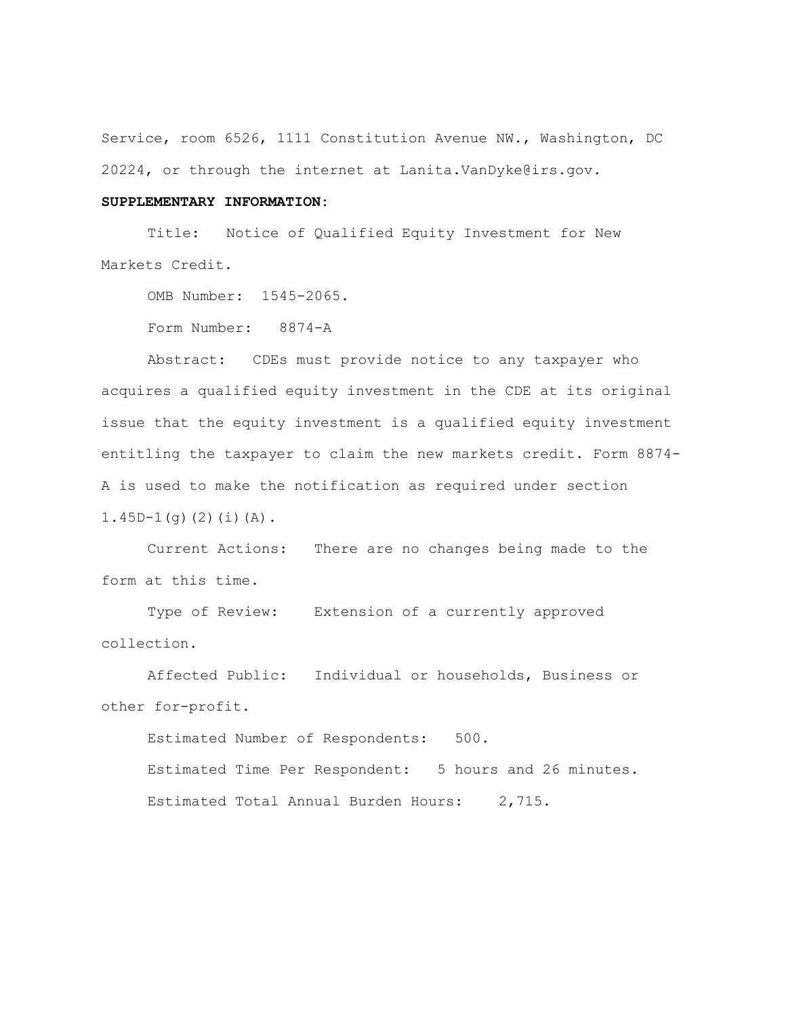Service, room 6526, 1111 Constitution Avenue NW., Washington, DC 20224, or through the internet at Lanita.VanDyke@irs.gov.

## **SUPPLEMENTARY INFORMATION:**

Title: Notice of Qualified Equity Investment for New Markets Credit.

OMB Number: 1545-2065.

Form Number: 8874-A

Abstract: CDEs must provide notice to any taxpayer who acquires a qualified equity investment in the CDE at its original issue that the equity investment is a qualified equity investment entitling the taxpayer to claim the new markets credit. Form 8874- A is used to make the notification as required under section  $1.45D-1(q)$  $(2)$  $(i)$  $(A)$ .

Current Actions: There are no changes being made to the form at this time.

Type of Review: Extension of a currently approved collection.

Affected Public: Individual or households, Business or other for-profit.

Estimated Number of Respondents: 500.

Estimated Time Per Respondent: 5 hours and 26 minutes. Estimated Total Annual Burden Hours: 2,715.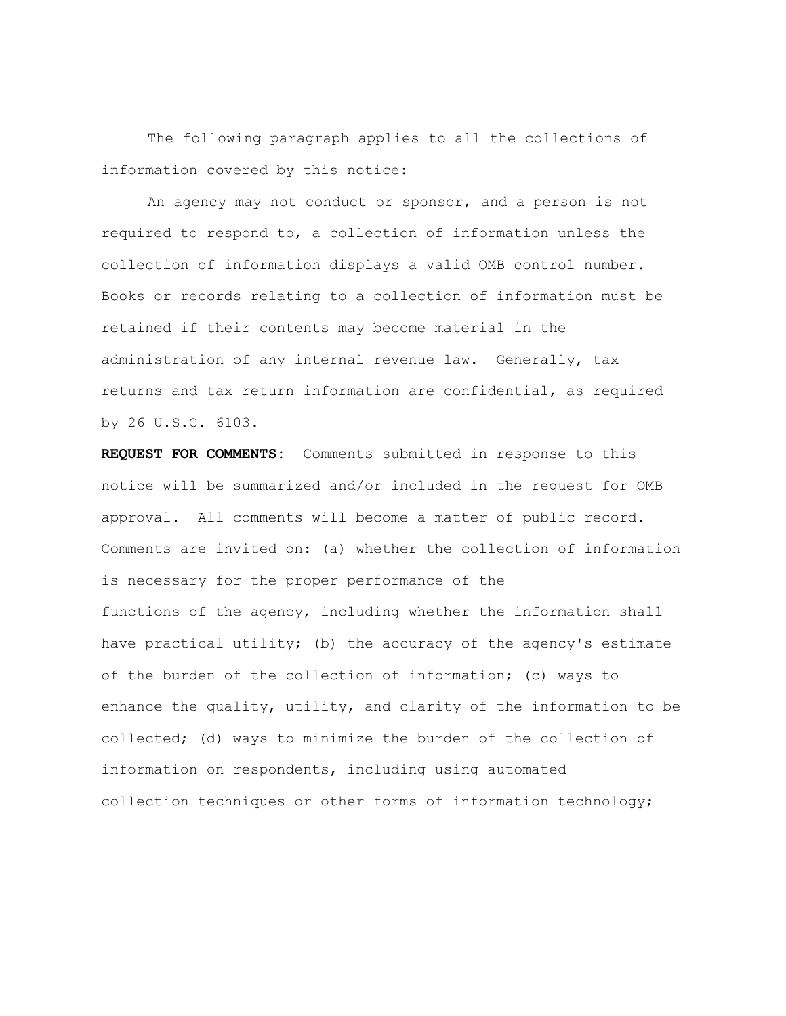The following paragraph applies to all the collections of information covered by this notice:

An agency may not conduct or sponsor, and a person is not required to respond to, a collection of information unless the collection of information displays a valid OMB control number. Books or records relating to a collection of information must be retained if their contents may become material in the administration of any internal revenue law. Generally, tax returns and tax return information are confidential, as required by 26 U.S.C. 6103.

**REQUEST FOR COMMENTS:** Comments submitted in response to this notice will be summarized and/or included in the request for OMB approval. All comments will become a matter of public record. Comments are invited on: (a) whether the collection of information is necessary for the proper performance of the functions of the agency, including whether the information shall have practical utility; (b) the accuracy of the agency's estimate of the burden of the collection of information; (c) ways to enhance the quality, utility, and clarity of the information to be collected; (d) ways to minimize the burden of the collection of information on respondents, including using automated collection techniques or other forms of information technology;